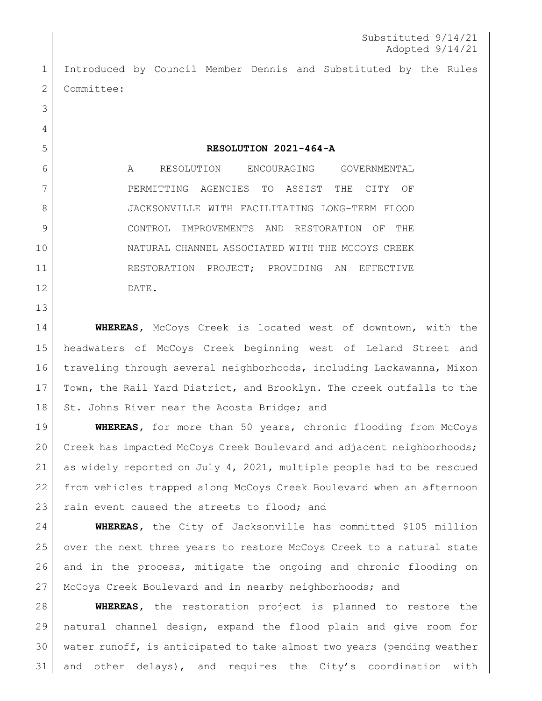Introduced by Council Member Dennis and Substituted by the Rules 2 Committee:

 

**RESOLUTION 2021-464-A**

 A RESOLUTION ENCOURAGING GOVERNMENTAL 7 PERMITTING AGENCIES TO ASSIST THE CITY OF JACKSONVILLE WITH FACILITATING LONG-TERM FLOOD CONTROL IMPROVEMENTS AND RESTORATION OF THE NATURAL CHANNEL ASSOCIATED WITH THE MCCOYS CREEK 11 RESTORATION PROJECT; PROVIDING AN EFFECTIVE DATE.

 **WHEREAS,** McCoys Creek is located west of downtown, with the headwaters of McCoys Creek beginning west of Leland Street and traveling through several neighborhoods, including Lackawanna, Mixon Town, the Rail Yard District, and Brooklyn. The creek outfalls to the 18 St. Johns River near the Acosta Bridge; and

 **WHEREAS,** for more than 50 years, chronic flooding from McCoys Creek has impacted McCoys Creek Boulevard and adjacent neighborhoods; as widely reported on July 4, 2021, multiple people had to be rescued from vehicles trapped along McCoys Creek Boulevard when an afternoon 23 rain event caused the streets to flood; and

 **WHEREAS,** the City of Jacksonville has committed \$105 million over the next three years to restore McCoys Creek to a natural state and in the process, mitigate the ongoing and chronic flooding on McCoys Creek Boulevard and in nearby neighborhoods; and

 **WHEREAS,** the restoration project is planned to restore the natural channel design, expand the flood plain and give room for water runoff, is anticipated to take almost two years (pending weather and other delays), and requires the City's coordination with